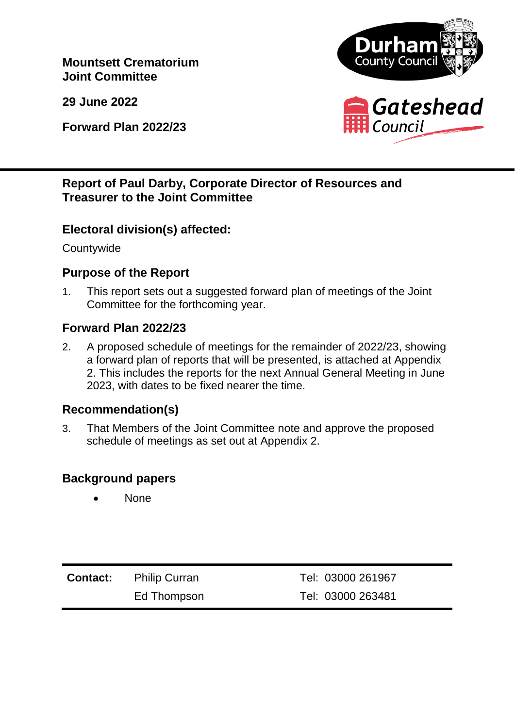**Mountsett Crematorium Joint Committee**

**29 June 2022**

**Forward Plan 2022/23**



# **Report of Paul Darby, Corporate Director of Resources and Treasurer to the Joint Committee**

#### **Electoral division(s) affected:**

**Countywide** 

### **Purpose of the Report**

1. This report sets out a suggested forward plan of meetings of the Joint Committee for the forthcoming year.

### **Forward Plan 2022/23**

2. A proposed schedule of meetings for the remainder of 2022/23, showing a forward plan of reports that will be presented, is attached at Appendix 2. This includes the reports for the next Annual General Meeting in June 2023, with dates to be fixed nearer the time.

### **Recommendation(s)**

3. That Members of the Joint Committee note and approve the proposed schedule of meetings as set out at Appendix 2.

### **Background papers**

**None** 

| <b>Contact:</b> Philip Curran | Tel: 03000 261967 |
|-------------------------------|-------------------|
| Ed Thompson                   | Tel: 03000 263481 |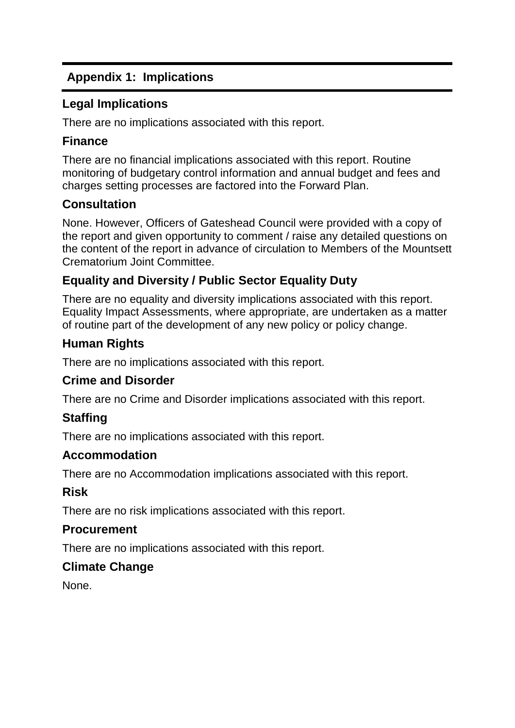# **Appendix 1: Implications**

### **Legal Implications**

There are no implications associated with this report.

### **Finance**

There are no financial implications associated with this report. Routine monitoring of budgetary control information and annual budget and fees and charges setting processes are factored into the Forward Plan.

# **Consultation**

None. However, Officers of Gateshead Council were provided with a copy of the report and given opportunity to comment / raise any detailed questions on the content of the report in advance of circulation to Members of the Mountsett Crematorium Joint Committee.

# **Equality and Diversity / Public Sector Equality Duty**

There are no equality and diversity implications associated with this report. Equality Impact Assessments, where appropriate, are undertaken as a matter of routine part of the development of any new policy or policy change.

# **Human Rights**

There are no implications associated with this report.

### **Crime and Disorder**

There are no Crime and Disorder implications associated with this report.

# **Staffing**

There are no implications associated with this report.

### **Accommodation**

There are no Accommodation implications associated with this report.

### **Risk**

There are no risk implications associated with this report.

### **Procurement**

There are no implications associated with this report.

# **Climate Change**

None.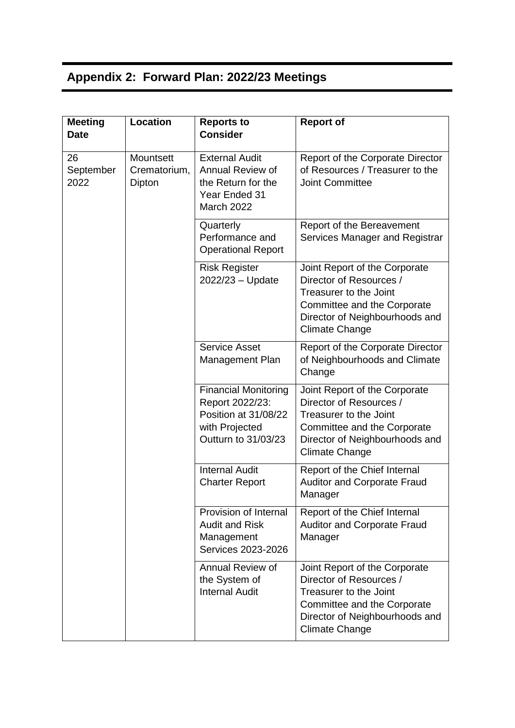# **Appendix 2: Forward Plan: 2022/23 Meetings**

| <b>Meeting</b><br><b>Date</b>     | <b>Location</b>           | <b>Reports to</b><br><b>Consider</b>                                                                            | <b>Report of</b>                                                                                                                                                             |
|-----------------------------------|---------------------------|-----------------------------------------------------------------------------------------------------------------|------------------------------------------------------------------------------------------------------------------------------------------------------------------------------|
| 26<br>September<br>2022<br>Dipton | Mountsett<br>Crematorium, | <b>External Audit</b><br>Annual Review of<br>the Return for the<br>Year Ended 31<br>March 2022                  | Report of the Corporate Director<br>of Resources / Treasurer to the<br><b>Joint Committee</b>                                                                                |
|                                   |                           | Quarterly<br>Performance and<br><b>Operational Report</b>                                                       | Report of the Bereavement<br>Services Manager and Registrar                                                                                                                  |
|                                   |                           | <b>Risk Register</b><br>2022/23 - Update                                                                        | Joint Report of the Corporate<br>Director of Resources /<br>Treasurer to the Joint<br>Committee and the Corporate<br>Director of Neighbourhoods and<br><b>Climate Change</b> |
|                                   |                           | <b>Service Asset</b><br>Management Plan                                                                         | Report of the Corporate Director<br>of Neighbourhoods and Climate<br>Change                                                                                                  |
|                                   |                           | <b>Financial Monitoring</b><br>Report 2022/23:<br>Position at 31/08/22<br>with Projected<br>Outturn to 31/03/23 | Joint Report of the Corporate<br>Director of Resources /<br>Treasurer to the Joint<br>Committee and the Corporate<br>Director of Neighbourhoods and<br><b>Climate Change</b> |
|                                   |                           | <b>Internal Audit</b><br><b>Charter Report</b>                                                                  | Report of the Chief Internal<br><b>Auditor and Corporate Fraud</b><br>Manager                                                                                                |
|                                   |                           | Provision of Internal<br><b>Audit and Risk</b><br>Management<br>Services 2023-2026                              | Report of the Chief Internal<br><b>Auditor and Corporate Fraud</b><br>Manager                                                                                                |
|                                   |                           | Annual Review of<br>the System of<br><b>Internal Audit</b>                                                      | Joint Report of the Corporate<br>Director of Resources /<br>Treasurer to the Joint<br>Committee and the Corporate<br>Director of Neighbourhoods and<br><b>Climate Change</b> |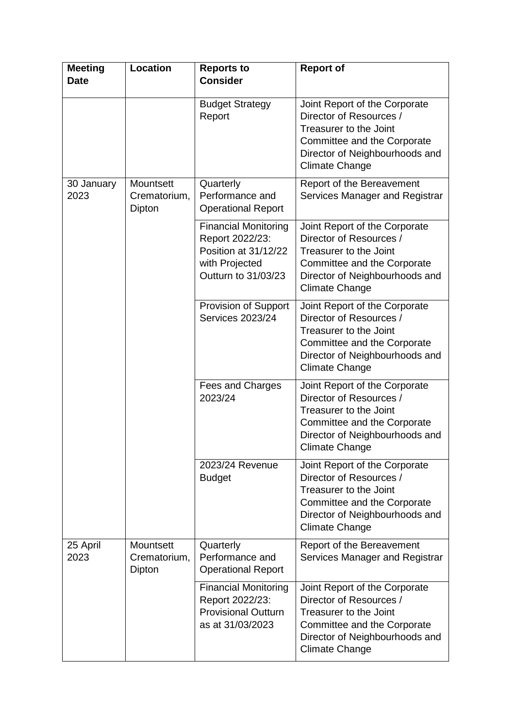| <b>Meeting</b><br><b>Date</b> | <b>Location</b>                     | <b>Reports to</b><br><b>Consider</b>                                                                            | <b>Report of</b>                                                                                                                                                             |
|-------------------------------|-------------------------------------|-----------------------------------------------------------------------------------------------------------------|------------------------------------------------------------------------------------------------------------------------------------------------------------------------------|
|                               |                                     | <b>Budget Strategy</b><br>Report                                                                                | Joint Report of the Corporate<br>Director of Resources /<br>Treasurer to the Joint<br>Committee and the Corporate<br>Director of Neighbourhoods and<br>Climate Change        |
| 30 January<br>2023            | Mountsett<br>Crematorium,<br>Dipton | Quarterly<br>Performance and<br><b>Operational Report</b>                                                       | Report of the Bereavement<br>Services Manager and Registrar                                                                                                                  |
|                               |                                     | <b>Financial Monitoring</b><br>Report 2022/23:<br>Position at 31/12/22<br>with Projected<br>Outturn to 31/03/23 | Joint Report of the Corporate<br>Director of Resources /<br>Treasurer to the Joint<br>Committee and the Corporate<br>Director of Neighbourhoods and<br><b>Climate Change</b> |
|                               |                                     | Provision of Support<br><b>Services 2023/24</b>                                                                 | Joint Report of the Corporate<br>Director of Resources /<br>Treasurer to the Joint<br>Committee and the Corporate<br>Director of Neighbourhoods and<br><b>Climate Change</b> |
|                               |                                     | Fees and Charges<br>2023/24                                                                                     | Joint Report of the Corporate<br>Director of Resources /<br>Treasurer to the Joint<br>Committee and the Corporate<br>Director of Neighbourhoods and<br><b>Climate Change</b> |
|                               |                                     | 2023/24 Revenue<br><b>Budget</b>                                                                                | Joint Report of the Corporate<br>Director of Resources /<br>Treasurer to the Joint<br>Committee and the Corporate<br>Director of Neighbourhoods and<br><b>Climate Change</b> |
| 25 April<br>2023              | Mountsett<br>Crematorium,<br>Dipton | Quarterly<br>Performance and<br><b>Operational Report</b>                                                       | Report of the Bereavement<br>Services Manager and Registrar                                                                                                                  |
|                               |                                     | <b>Financial Monitoring</b><br>Report 2022/23:<br><b>Provisional Outturn</b><br>as at 31/03/2023                | Joint Report of the Corporate<br>Director of Resources /<br>Treasurer to the Joint<br>Committee and the Corporate<br>Director of Neighbourhoods and<br>Climate Change        |